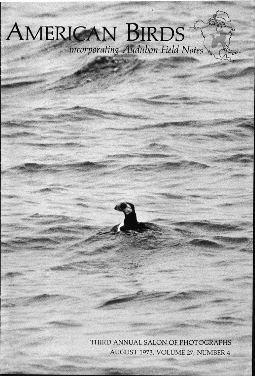# AMERICAN BIRDS incorporating Audubon Field Notes

THIRD ANNUAL SALON OF PHOTOGRAPHS AUGUST 1973, VOLUME 27, NUMBER 4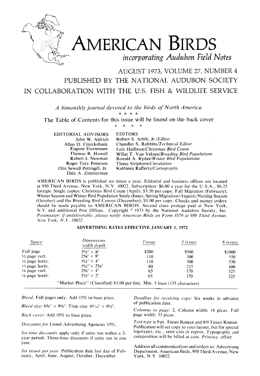

# **AMERICAN BIRDS l incorporating Audubon Field Notes**

### **AUGUST 1973, VOLUME 27, NUMBER 4 PUBLISHED BY THE NATIONAL AUDUBON SOCIETY IN COLLABORATION WITH THE U.S. FISH & WILDLIFE SERVICE**

A bimonthly journal devoted to the birds of North America

**The Table of Contents for this issue w,ill be found on the back cover** 

**EDITORIAL ADVISORS John W. Aldrich Allan D. Cruickshank Eugene Eisenmann Thomas R. Howell Robert J. Newman Roger Tory Peterson Olin Sewall Pettingill, Jr. Dale A. Zimmerman** 

#### $\ast$ **EDITORS**

**Robert S. Arbib, Jr./Editor Chandler S. Robbins/Technical Editor Lois Heilbrun/Christmas Bird Count Willet T. Van Velzen/Breeding Bird Populations Ronald A. Ryder/Winter Bird Populations Thana Siriphorn/Circulation Kathleen Rafferty/Cartography** 

**AMERICAN BIRDS is published six times a year. Editorial and business offices are located at 950 Third Avenue, New York, N.Y. 10022. Subscription: \$6.00 a year for the U.S.A., \$6.25 foreign. Single copies: Christmas Bird Count (April), \$3.50 per copy; Fall Migration (February),**  Winter Season and Winter Bird Population Study (June), Spring Migration (August), Nesting Season **(October) and fhe Breeding Bird Census (December), \$1.00 per copy. Checks and money orders should be made payable to AMERICAN BIRDS. Second class postage paid at New York, N.Y. and additional Post Offices.** Copyright <sup>©</sup> 1973 by the National Audubon Society, Inc. **Postmaster: if undeliverable, please notify American Birds on Form 3579 at 950 Third Avenue, New York, N.Y. 10022.** 

#### **ADVERTISING RATES EFFECTIVE JANUARY 1, 1972**

| Space                     | <b>Dimensions</b><br>width depth                                           | l issue | 3 issues | 6 issues |
|---------------------------|----------------------------------------------------------------------------|---------|----------|----------|
| Full page                 | $5\frac{1}{2}'' \times 8''$                                                | \$200   | \$560    | \$1000   |
| $\frac{1}{2}$ page vert.  | $25\%'' \times 8''$                                                        | 110     | 300      | 550      |
| $\frac{1}{2}$ page horiz. | $5\frac{1}{9}$ $\times$ 4"                                                 | 110     | 300      | 550      |
| $\frac{1}{3}$ page horiz. | $5\frac{1}{2}$ $\times$ 25/a"                                              | 80      | 215      | 400      |
| $\frac{1}{4}$ page vert.  | $25/8'' \times 4''$                                                        | 65      | 170      | 325      |
| $\frac{1}{4}$ page horiz. | $5\frac{1}{9}$ $\times$ 2"                                                 | 65      | 170      | 325      |
|                           | "Market Place" (Classified) \$3.00 per line. Min. 3 lines (135 characters) |         |          |          |

**Bleed. Full pages only. Add 15% to base price.** 

**Bleed size:**  $6\frac{3}{4}$ **"**  $\times$  $9\frac{3}{4}$ **". Trim size:**  $6\frac{9}{16}$ **"**  $\times$   $9\frac{1}{8}$ ".

**Back cover: Add 10% to base price.** 

**Dtscounts for Listed Advertising Agencies 15%.** 

**Stx-time discounts apply only if units run within a 2 year period. Three-time discounts if units run in one year.** 

Six issues per year Publication date last day of Feb**ruary, April, June, August, October, December** 

**Deadline for receiving copy: Six weeks in advance of publication date.** 

**Columns to page: 2. Column width: 16 picas. Full page width: 33 picas.** 

**Text type is 9 pt. Times Roman and 8/9 Times Roman Publication will set copy to your layout, but for special logotypes, etc., send cuts or repros. Typography and composition will be billed at cost. Printing: offset** 

Address all communications and orders to: Advertising **Department, American Birds, 950 Third Avenue, New York, N Y 10022**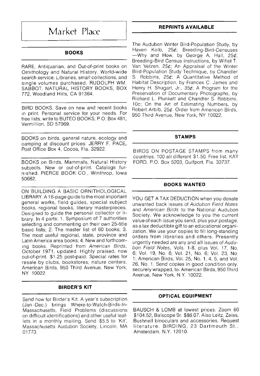## **Market Place**

#### **BOOKS**

**RARE, Antiquarian, and Out-of-print books on Ornithology and Natural History. World-wide search service. Libraries, small collections, and single volumes purchased. RUDOLPH WM. SABBOT. NATURAL HISTORY BOOKS, BOX 772, Woodland Hills, CA 91364.** 

**BIRD BOOKS. Save on new and recent books in print. Personal service for your needs. For free lists, write to BUTEO BOOKS, P.O. Box 481, Vermillion, SD 57069.** 

**BOOKS on birds, general nature, ecology and camping at discount prices. JERRY F. PACE, Post Office Box 4, Cocoa, Fla. 32922.** 

**BOOKS on Birds, Mammals, Natural History subjects. New or out-of-print. Catalogs furnished. PIERCE BOOK CO., Winthrop, Iowa 50682.** 

**ON BUILDING A BASIC ORNITHOLOGICAL LIBRARY. A 16-page guide to the most important general works, field guides, special subject books, regional books, literary masterpieces. Designed to guide the personal collector or library. In 4 parts: 1. Symposium of 7 authorities selecting and commenting on their own 25-title basic lists; 2. The master list of 60 books; 3. The most useful regional, state, province and Latin America area books; 4. New and forthcoming books. Reprinted from American Birds, October 1971, updated. Highly praised, now out-of-print. \$1.25 post-paid. Special rates for resale by clubs, bookstores, nature centers. American Birds, 950 Third Avenue, New York, NY 10022.** 

#### **BIRDER'S KIT**

**Send now for Birder's Kit. A year's subscription (Jan -Dec.) brings Where-to-Watch-Birds-ln-Massachusetts, Field Problems (discussions on difficult identifications) and other useful leaflets in a monthly mailing. Send \$5.5 to 'Kit', Massachusetts Audubon Society, Lincoln, MA 01773.** 

#### **REPRINTS AVAILABLE**

**The Audubon Winter Bird-Population Study, by Haven Kolb, 25½; Breeding-Bird-Censuses --Why and How, by George A. Hall, 25½; Breeding-Bird Census Instructions, by Willet T. Van Velzen, 25½; An Appraisal of the Winter Bird-Population Study Technique, by Chandler S. Robbins, 25½; A Quantitative Method of Habitat Description, by Frances C. James and Henry H. Shugart, Jr., 35½; A Program for the Preservation of Documentary Photographs, by Richard L. Plunkett and Chandler S. Robbins, 10c; On the Art of Estimating Numbers, by Robert Arbib, 25½. Order from American Birds, 950 Third Avenue, New York, NY 10022.** 

#### **STAMPS**

**BIRDS ON POSTAGE STAMPS from many countries. 100 all different \$1.50. Free list. KAY FORD. P.O. Box 5203, Gulfport, Fla. 33737.** 

#### **BOOKS WANTED**

**YOU GET A TAX DEDUCTION when you donate unwanted back issues of Audubon Field Notes and American Birds to the National Audubon Society. We acknowledge to you the current value of each issue you send, plus your postage, as a tax deductible gift to an educational organization. We use your copies to fill long-standing orders from libraries and others. Presently urgently needed are any and all issues of Audubon Field Notes, Vols. 1-8, plus Vol. 17, No. 6; Vol. 19, No. 6; Vol. 21, No. 6; Vol. 23, No. 1; American Birds, Vol. 25, No. 1, 4, 5, and Vol. 26, No. 1. Send copies in good condition only, securely wrapped, to: American Birds, 950 Third Avenue, New York, N.Y. 10022.** 

#### **OPTICAL EQUIPMENT**

**BAUSCH & LOMB at lowest prices. Zoom 60 \$104.52, Balscope Sr. \$8607. Also Leitz, Zeiss, Bushnell binoculars and accessories. Request literature. BIRDING, 23 Dartmouth St., Amsterdam, N.Y. 12010.**